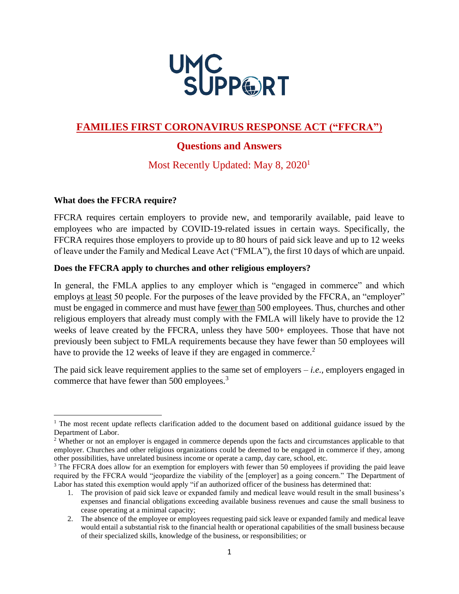# **UMC<br>SUPPORT**

# **FAMILIES FIRST CORONAVIRUS RESPONSE ACT ("FFCRA")**

## **Questions and Answers**

Most Recently Updated: May 8, 2020<sup>1</sup>

#### **What does the FFCRA require?**

FFCRA requires certain employers to provide new, and temporarily available, paid leave to employees who are impacted by COVID-19-related issues in certain ways. Specifically, the FFCRA requires those employers to provide up to 80 hours of paid sick leave and up to 12 weeks of leave under the Family and Medical Leave Act ("FMLA"), the first 10 days of which are unpaid.

#### **Does the FFCRA apply to churches and other religious employers?**

In general, the FMLA applies to any employer which is "engaged in commerce" and which employs at least 50 people. For the purposes of the leave provided by the FFCRA, an "employer" must be engaged in commerce and must have fewer than 500 employees. Thus, churches and other religious employers that already must comply with the FMLA will likely have to provide the 12 weeks of leave created by the FFCRA, unless they have 500+ employees. Those that have not previously been subject to FMLA requirements because they have fewer than 50 employees will have to provide the 12 weeks of leave if they are engaged in commerce.<sup>2</sup>

The paid sick leave requirement applies to the same set of employers – *i.e.*, employers engaged in commerce that have fewer than 500 employees.<sup>3</sup>

<sup>&</sup>lt;sup>1</sup> The most recent update reflects clarification added to the document based on additional guidance issued by the Department of Labor.

<sup>2</sup> Whether or not an employer is engaged in commerce depends upon the facts and circumstances applicable to that employer. Churches and other religious organizations could be deemed to be engaged in commerce if they, among other possibilities, have unrelated business income or operate a camp, day care, school, etc.

<sup>&</sup>lt;sup>3</sup> The FFCRA does allow for an exemption for employers with fewer than 50 employees if providing the paid leave required by the FFCRA would "jeopardize the viability of the [employer] as a going concern." The Department of Labor has stated this exemption would apply "if an authorized officer of the business has determined that:

<sup>1.</sup> The provision of paid sick leave or expanded family and medical leave would result in the small business's expenses and financial obligations exceeding available business revenues and cause the small business to cease operating at a minimal capacity;

<sup>2.</sup> The absence of the employee or employees requesting paid sick leave or expanded family and medical leave would entail a substantial risk to the financial health or operational capabilities of the small business because of their specialized skills, knowledge of the business, or responsibilities; or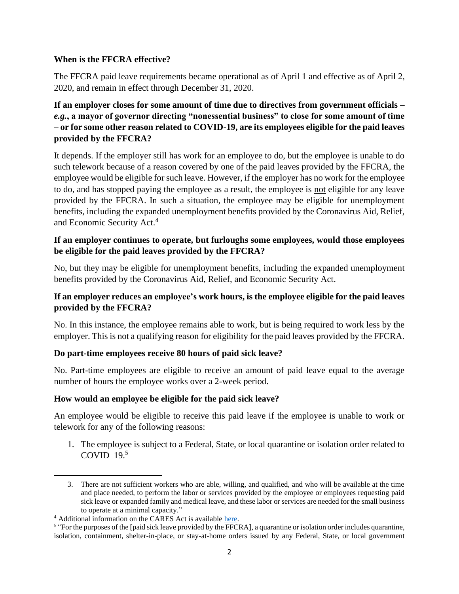#### **When is the FFCRA effective?**

The FFCRA paid leave requirements became operational as of April 1 and effective as of April 2, 2020, and remain in effect through December 31, 2020.

## **If an employer closes for some amount of time due to directives from government officials –** *e.g.***, a mayor of governor directing "nonessential business" to close for some amount of time – or for some other reason related to COVID-19, are its employees eligible for the paid leaves provided by the FFCRA?**

It depends. If the employer still has work for an employee to do, but the employee is unable to do such telework because of a reason covered by one of the paid leaves provided by the FFCRA, the employee would be eligible for such leave. However, if the employer has no work for the employee to do, and has stopped paying the employee as a result, the employee is not eligible for any leave provided by the FFCRA. In such a situation, the employee may be eligible for unemployment benefits, including the expanded unemployment benefits provided by the Coronavirus Aid, Relief, and Economic Security Act.<sup>4</sup>

#### **If an employer continues to operate, but furloughs some employees, would those employees be eligible for the paid leaves provided by the FFCRA?**

No, but they may be eligible for unemployment benefits, including the expanded unemployment benefits provided by the Coronavirus Aid, Relief, and Economic Security Act.

## **If an employer reduces an employee's work hours, is the employee eligible for the paid leaves provided by the FFCRA?**

No. In this instance, the employee remains able to work, but is being required to work less by the employer. This is not a qualifying reason for eligibility for the paid leaves provided by the FFCRA.

## **Do part-time employees receive 80 hours of paid sick leave?**

No. Part-time employees are eligible to receive an amount of paid leave equal to the average number of hours the employee works over a 2-week period.

## **How would an employee be eligible for the paid sick leave?**

An employee would be eligible to receive this paid leave if the employee is unable to work or telework for any of the following reasons:

1. The employee is subject to a Federal, State, or local quarantine or isolation order related to  $COVID-19.5$ 

<sup>3.</sup> There are not sufficient workers who are able, willing, and qualified, and who will be available at the time and place needed, to perform the labor or services provided by the employee or employees requesting paid sick leave or expanded family and medical leave, and these labor or services are needed for the small business to operate at a minimal capacity."

<sup>4</sup> Additional information on the CARES Act is available [here.](https://www.gcfa.org/about-us/resources-during-covid-19/)

<sup>&</sup>lt;sup>5</sup> "For the purposes of the [paid sick leave provided by the FFCRA], a quarantine or isolation order includes quarantine, isolation, containment, shelter-in-place, or stay-at-home orders issued by any Federal, State, or local government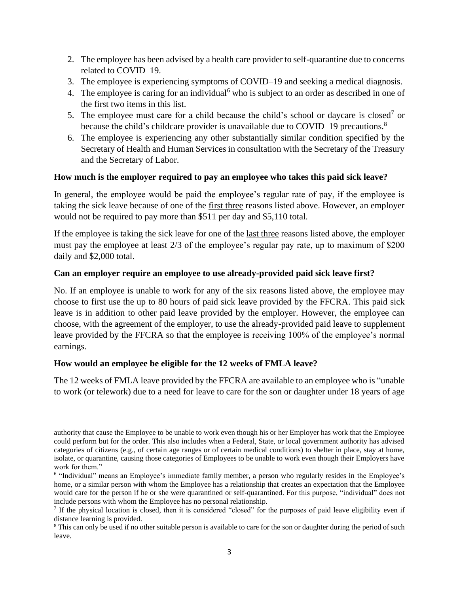- 2. The employee has been advised by a health care provider to self-quarantine due to concerns related to COVID–19.
- 3. The employee is experiencing symptoms of COVID–19 and seeking a medical diagnosis.
- 4. The employee is caring for an individual<sup>6</sup> who is subject to an order as described in one of the first two items in this list.
- 5. The employee must care for a child because the child's school or daycare is closed<sup>7</sup> or because the child's childcare provider is unavailable due to COVID–19 precautions.<sup>8</sup>
- 6. The employee is experiencing any other substantially similar condition specified by the Secretary of Health and Human Services in consultation with the Secretary of the Treasury and the Secretary of Labor.

## **How much is the employer required to pay an employee who takes this paid sick leave?**

In general, the employee would be paid the employee's regular rate of pay, if the employee is taking the sick leave because of one of the first three reasons listed above. However, an employer would not be required to pay more than \$511 per day and \$5,110 total.

If the employee is taking the sick leave for one of the last three reasons listed above, the employer must pay the employee at least 2/3 of the employee's regular pay rate, up to maximum of \$200 daily and \$2,000 total.

## **Can an employer require an employee to use already-provided paid sick leave first?**

No. If an employee is unable to work for any of the six reasons listed above, the employee may choose to first use the up to 80 hours of paid sick leave provided by the FFCRA. This paid sick leave is in addition to other paid leave provided by the employer. However, the employee can choose, with the agreement of the employer, to use the already-provided paid leave to supplement leave provided by the FFCRA so that the employee is receiving 100% of the employee's normal earnings.

## **How would an employee be eligible for the 12 weeks of FMLA leave?**

The 12 weeks of FMLA leave provided by the FFCRA are available to an employee who is "unable to work (or telework) due to a need for leave to care for the son or daughter under 18 years of age

authority that cause the Employee to be unable to work even though his or her Employer has work that the Employee could perform but for the order. This also includes when a Federal, State, or local government authority has advised categories of citizens (e.g., of certain age ranges or of certain medical conditions) to shelter in place, stay at home, isolate, or quarantine, causing those categories of Employees to be unable to work even though their Employers have work for them."

<sup>&</sup>lt;sup>6</sup> "Individual" means an Employee's immediate family member, a person who regularly resides in the Employee's home, or a similar person with whom the Employee has a relationship that creates an expectation that the Employee would care for the person if he or she were quarantined or self-quarantined. For this purpose, "individual" does not include persons with whom the Employee has no personal relationship.

If the physical location is closed, then it is considered "closed" for the purposes of paid leave eligibility even if distance learning is provided.

<sup>&</sup>lt;sup>8</sup> This can only be used if no other suitable person is available to care for the son or daughter during the period of such leave.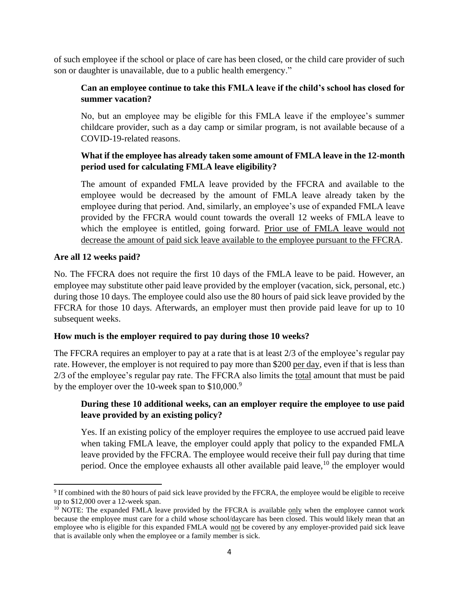of such employee if the school or place of care has been closed, or the child care provider of such son or daughter is unavailable, due to a public health emergency."

## **Can an employee continue to take this FMLA leave if the child's school has closed for summer vacation?**

No, but an employee may be eligible for this FMLA leave if the employee's summer childcare provider, such as a day camp or similar program, is not available because of a COVID-19-related reasons.

## **What if the employee has already taken some amount of FMLA leave in the 12-month period used for calculating FMLA leave eligibility?**

The amount of expanded FMLA leave provided by the FFCRA and available to the employee would be decreased by the amount of FMLA leave already taken by the employee during that period. And, similarly, an employee's use of expanded FMLA leave provided by the FFCRA would count towards the overall 12 weeks of FMLA leave to which the employee is entitled, going forward. Prior use of FMLA leave would not decrease the amount of paid sick leave available to the employee pursuant to the FFCRA.

## **Are all 12 weeks paid?**

No. The FFCRA does not require the first 10 days of the FMLA leave to be paid. However, an employee may substitute other paid leave provided by the employer (vacation, sick, personal, etc.) during those 10 days. The employee could also use the 80 hours of paid sick leave provided by the FFCRA for those 10 days. Afterwards, an employer must then provide paid leave for up to 10 subsequent weeks.

## **How much is the employer required to pay during those 10 weeks?**

The FFCRA requires an employer to pay at a rate that is at least 2/3 of the employee's regular pay rate. However, the employer is not required to pay more than \$200 per day, even if that is less than 2/3 of the employee's regular pay rate. The FFCRA also limits the total amount that must be paid by the employer over the 10-week span to \$10,000.<sup>9</sup>

## **During these 10 additional weeks, can an employer require the employee to use paid leave provided by an existing policy?**

Yes. If an existing policy of the employer requires the employee to use accrued paid leave when taking FMLA leave, the employer could apply that policy to the expanded FMLA leave provided by the FFCRA. The employee would receive their full pay during that time period. Once the employee exhausts all other available paid leave,  $10$  the employer would

<sup>&</sup>lt;sup>9</sup> If combined with the 80 hours of paid sick leave provided by the FFCRA, the employee would be eligible to receive up to \$12,000 over a 12-week span.

<sup>&</sup>lt;sup>10</sup> NOTE: The expanded FMLA leave provided by the FFCRA is available only when the employee cannot work because the employee must care for a child whose school/daycare has been closed. This would likely mean that an employee who is eligible for this expanded FMLA would not be covered by any employer-provided paid sick leave that is available only when the employee or a family member is sick.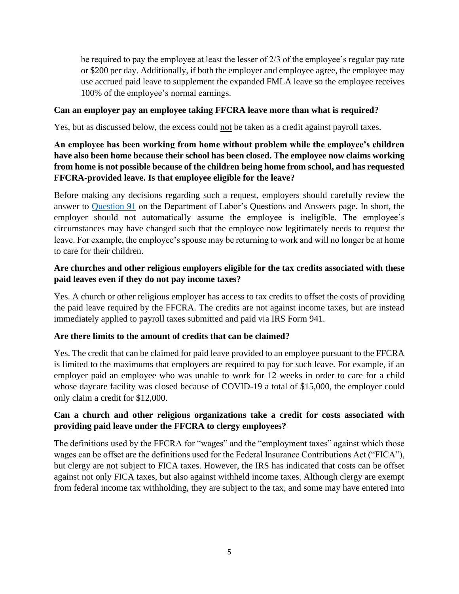be required to pay the employee at least the lesser of 2/3 of the employee's regular pay rate or \$200 per day. Additionally, if both the employer and employee agree, the employee may use accrued paid leave to supplement the expanded FMLA leave so the employee receives 100% of the employee's normal earnings.

#### **Can an employer pay an employee taking FFCRA leave more than what is required?**

Yes, but as discussed below, the excess could not be taken as a credit against payroll taxes.

## **An employee has been working from home without problem while the employee's children have also been home because their school has been closed. The employee now claims working from home is not possible because of the children being home from school, and has requested FFCRA-provided leave. Is that employee eligible for the leave?**

Before making any decisions regarding such a request, employers should carefully review the answer to [Question 91](https://www.dol.gov/agencies/whd/pandemic/ffcra-questions#91) on the Department of Labor's Questions and Answers page. In short, the employer should not automatically assume the employee is ineligible. The employee's circumstances may have changed such that the employee now legitimately needs to request the leave. For example, the employee's spouse may be returning to work and will no longer be at home to care for their children.

## **Are churches and other religious employers eligible for the tax credits associated with these paid leaves even if they do not pay income taxes?**

Yes. A church or other religious employer has access to tax credits to offset the costs of providing the paid leave required by the FFCRA. The credits are not against income taxes, but are instead immediately applied to payroll taxes submitted and paid via IRS Form 941.

## **Are there limits to the amount of credits that can be claimed?**

Yes. The credit that can be claimed for paid leave provided to an employee pursuant to the FFCRA is limited to the maximums that employers are required to pay for such leave. For example, if an employer paid an employee who was unable to work for 12 weeks in order to care for a child whose daycare facility was closed because of COVID-19 a total of \$15,000, the employer could only claim a credit for \$12,000.

## **Can a church and other religious organizations take a credit for costs associated with providing paid leave under the FFCRA to clergy employees?**

The definitions used by the FFCRA for "wages" and the "employment taxes" against which those wages can be offset are the definitions used for the Federal Insurance Contributions Act ("FICA"), but clergy are not subject to FICA taxes. However, the IRS has indicated that costs can be offset against not only FICA taxes, but also against withheld income taxes. Although clergy are exempt from federal income tax withholding, they are subject to the tax, and some may have entered into